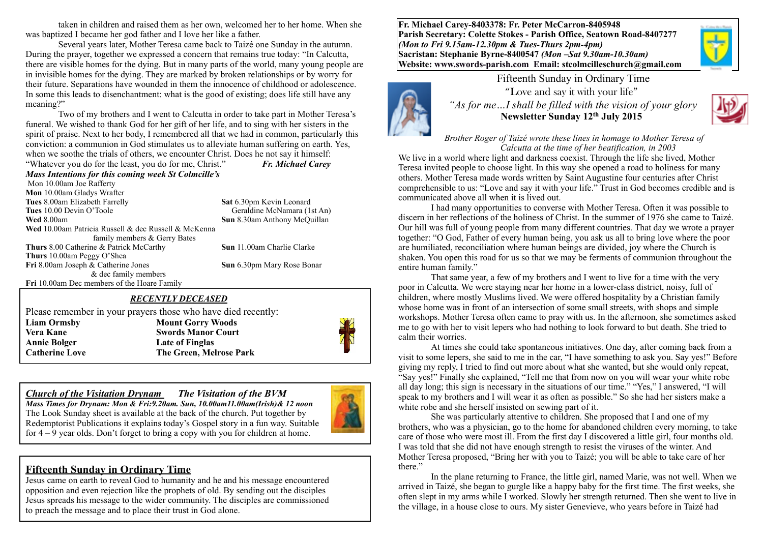taken in children and raised them as her own, welcomed her to her home. When she was baptized I became her god father and I love her like a father.

Several years later, Mother Teresa came back to Taizé one Sunday in the autumn. During the prayer, together we expressed a concern that remains true today: "In Calcutta, there are visible homes for the dying. But in many parts of the world, many young people are in invisible homes for the dying. They are marked by broken relationships or by worry for their future. Separations have wounded in them the innocence of childhood or adolescence. In some this leads to disenchantment: what is the good of existing; does life still have any meaning?"

 Two of my brothers and I went to Calcutta in order to take part in Mother Teresa's funeral. We wished to thank God for her gift of her life, and to sing with her sisters in the spirit of praise. Next to her body, I remembered all that we had in common, particularly this conviction: a communion in God stimulates us to alleviate human suffering on earth. Yes, when we soothe the trials of others, we encounter Christ. Does he not say it himself:

"Whatever you do for the least, you do for me, Christ." *Fr. Michael Carey Mass Intentions for this coming week St Colmcille's* 

Mon 10.00am Joe Rafferty **Mon** 10.00am Gladys Wrafter **Tues** 8.00am Elizabeth Farrelly **Sat** 6.30pm Kevin Leonard **Tues** 10.00 Devin O'Toole Geraldine McNamara (1st An) **Wed 8.00am Sun 8.30am Anthony McQuillan Wed** 10.00am Patricia Russell & dec Russell & McKenna family members & Gerry Bates **Thurs** 8.00 Catherine & Patrick McCarthy **Sun** 11.00am Charlie Clarke **Thurs** 10.00am Peggy O'Shea **Fri** 8.00am Joseph & Catherine Jones **Sun** 6.30pm Mary Rose Bonar & dec family members **Fri** 10.00am Dec members of the Hoare Family

#### *RECENTLY DECEASED*

Please remember in your prayers those who have died recently: **Liam Ormsby Mount Gorry Woods Vera Kane Swords Manor Court Annie Bolger Late of Finglas Catherine Love The Green, Melrose Park**

*Church of the Visitation Drynam**The Visitation of the BVM Mass Times for Drynam: Mon & Fri:9.20am. Sun, 10.00am11.00am(Irish)& 12 noon* The Look Sunday sheet is available at the back of the church. Put together by

Redemptorist Publications it explains today's Gospel story in a fun way. Suitable for  $4 - 9$  year olds. Don't forget to bring a copy with you for children at home.

## **Fifteenth Sunday in Ordinary Time**

Jesus came on earth to reveal God to humanity and he and his message encountered opposition and even rejection like the prophets of old. By sending out the disciples Jesus spreads his message to the wider community. The disciples are commissioned to preach the message and to place their trust in God alone.

**Fr. Michael Carey-8403378: Fr. Peter McCarron-8405948 Parish Secretary: Colette Stokes - Parish Office, Seatown Road-8407277**  *(Mon to Fri 9.15am-12.30pm & Tues-Thurs 2pm-4pm)*  **Sacristan: Stephanie Byrne-8400547** *(Mon –Sat 9.30am-10.30am)* **Website: [www.swords-parish.com Email](http://www.swords-parish.com%20%20email): stcolmcilleschurch@gmail.com**



Fifteenth Sunday in Ordinary Time "Love and say it with your life"  *"As for me…I shall be filled with the vision of your glory*  **Newsletter Sunday 12th July 2015**



*Brother Roger of Taizé wrote these lines in homage to Mother Teresa of Calcutta at the time of her beatification, in 2003* 

We live in a world where light and darkness coexist. Through the life she lived, Mother Teresa invited people to choose light. In this way she opened a road to holiness for many others. Mother Teresa made words written by Saint Augustine four centuries after Christ comprehensible to us: "Love and say it with your life." Trust in God becomes credible and is communicated above all when it is lived out.

 I had many opportunities to converse with Mother Teresa. Often it was possible to discern in her reflections of the holiness of Christ. In the summer of 1976 she came to Taizé. Our hill was full of young people from many different countries. That day we wrote a prayer together: "O God, Father of every human being, you ask us all to bring love where the poor are humiliated, reconciliation where human beings are divided, joy where the Church is shaken. You open this road for us so that we may be ferments of communion throughout the entire human family."

 That same year, a few of my brothers and I went to live for a time with the very poor in Calcutta. We were staying near her home in a lower-class district, noisy, full of children, where mostly Muslims lived. We were offered hospitality by a Christian family whose home was in front of an intersection of some small streets, with shops and simple workshops. Mother Teresa often came to pray with us. In the afternoon, she sometimes asked me to go with her to visit lepers who had nothing to look forward to but death. She tried to calm their worries.

 At times she could take spontaneous initiatives. One day, after coming back from a visit to some lepers, she said to me in the car, "I have something to ask you. Say yes!" Before giving my reply, I tried to find out more about what she wanted, but she would only repeat, "Say yes!" Finally she explained, "Tell me that from now on you will wear your white robe all day long; this sign is necessary in the situations of our time." "Yes," I answered, "I will speak to my brothers and I will wear it as often as possible." So she had her sisters make a white robe and she herself insisted on sewing part of it.

She was particularly attentive to children. She proposed that I and one of my brothers, who was a physician, go to the home for abandoned children every morning, to take care of those who were most ill. From the first day I discovered a little girl, four months old. I was told that she did not have enough strength to resist the viruses of the winter. And Mother Teresa proposed, "Bring her with you to Taizé; you will be able to take care of her there."

In the plane returning to France, the little girl, named Marie, was not well. When we arrived in Taizé, she began to gurgle like a happy baby for the first time. The first weeks, she often slept in my arms while I worked. Slowly her strength returned. Then she went to live in the village, in a house close to ours. My sister Genevieve, who years before in Taizé had